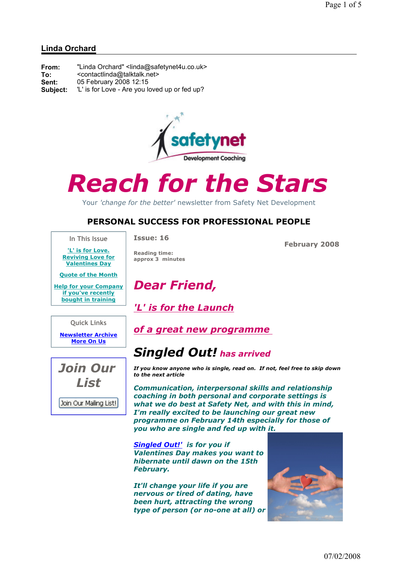### Linda Orchard

| From:    | "Linda Orchard" <linda@safetynet4u.co.uk></linda@safetynet4u.co.uk> |
|----------|---------------------------------------------------------------------|
| To:      | <contactlinda@talktalk.net></contactlinda@talktalk.net>             |
| Sent:    | 05 February 2008 12:15                                              |
| Subject: | "L' is for Love - Are you loved up or fed up?                       |



# Reach for the Stars

Your 'change for the better' newsletter from Safety Net Development

## PERSONAL SUCCESS FOR PROFESSIONAL PEOPLE

In This Issue 'L' is for Love. Issue: 16

Reading time: approx 3 minutes

Dear Friend,

'L' is for the Launch

February 2008

Reviving Love for Valentines Day

Quote of the Month

Help for your Company if you've recently bought in training

Quick Links

Newsletter Archive More On Us



of a great new programme

## Singled Out! has arrived

If you know anyone who is single, read on. If not, feel free to skip down to the next article

Communication, interpersonal skills and relationship coaching in both personal and corporate settings is what we do best at Safety Net, and with this in mind, I'm really excited to be launching our great new programme on February 14th especially for those of you who are single and fed up with it.

Singled Out!' is for you if Valentines Day makes you want to hibernate until dawn on the 15th February.

It'll change your life if you are nervous or tired of dating, have been hurt, attracting the wrong type of person (or no-one at all) or

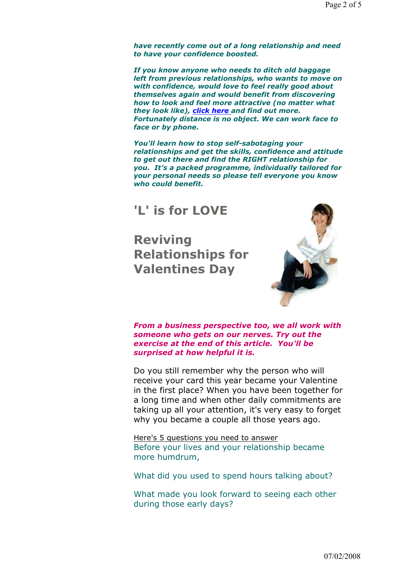have recently come out of a long relationship and need to have your confidence boosted.

If you know anyone who needs to ditch old baggage left from previous relationships, who wants to move on with confidence, would love to feel really good about themselves again and would benefit from discovering how to look and feel more attractive (no matter what they look like), click here and find out more. Fortunately distance is no object. We can work face to face or by phone.

You'll learn how to stop self-sabotaging your relationships and get the skills, confidence and attitude to get out there and find the RIGHT relationship for you. It's a packed programme, individually tailored for your personal needs so please tell everyone you know who could benefit.

## 'L' is for LOVE

Reviving Relationships for Valentines Day



From a business perspective too, we all work with someone who gets on our nerves. Try out the exercise at the end of this article. You'll be surprised at how helpful it is.

Do you still remember why the person who will receive your card this year became your Valentine in the first place? When you have been together for a long time and when other daily commitments are taking up all your attention, it's very easy to forget why you became a couple all those years ago.

Here's 5 questions you need to answer Before your lives and your relationship became more humdrum,

What did you used to spend hours talking about?

What made you look forward to seeing each other during those early days?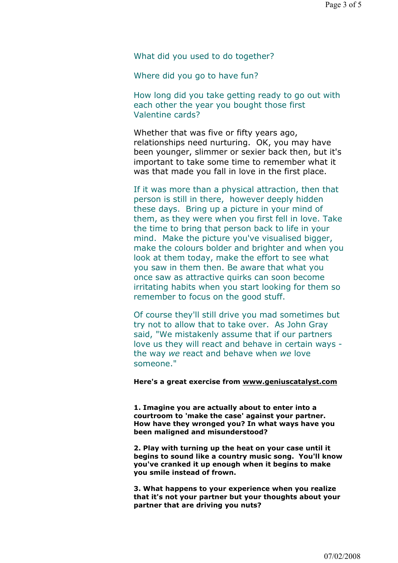What did you used to do together?

Where did you go to have fun?

How long did you take getting ready to go out with each other the year you bought those first Valentine cards?

Whether that was five or fifty years ago, relationships need nurturing. OK, you may have been younger, slimmer or sexier back then, but it's important to take some time to remember what it was that made you fall in love in the first place.

If it was more than a physical attraction, then that person is still in there, however deeply hidden these days. Bring up a picture in your mind of them, as they were when you first fell in love. Take the time to bring that person back to life in your mind. Make the picture you've visualised bigger, make the colours bolder and brighter and when you look at them today, make the effort to see what you saw in them then. Be aware that what you once saw as attractive quirks can soon become irritating habits when you start looking for them so remember to focus on the good stuff.

Of course they'll still drive you mad sometimes but try not to allow that to take over. As John Gray said, "We mistakenly assume that if our partners love us they will react and behave in certain ways the way we react and behave when we love someone."

#### Here's a great exercise from www.geniuscatalyst.com

1. Imagine you are actually about to enter into a courtroom to 'make the case' against your partner. How have they wronged you? In what ways have you been maligned and misunderstood?

2. Play with turning up the heat on your case until it begins to sound like a country music song. You'll know you've cranked it up enough when it begins to make you smile instead of frown.

3. What happens to your experience when you realize that it's not your partner but your thoughts about your partner that are driving you nuts?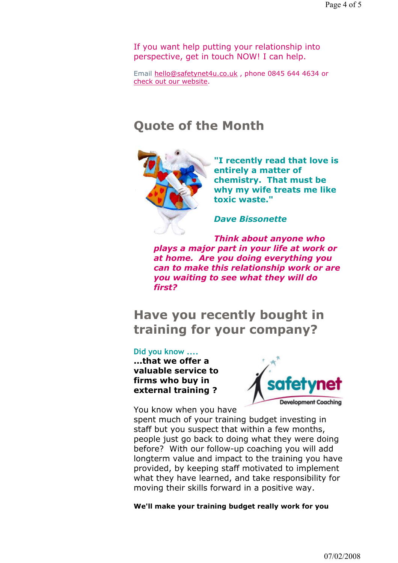If you want help putting your relationship into perspective, get in touch NOW! I can help.

Email hello@safetynet4u.co.uk , phone 0845 644 4634 or check out our website.

## Quote of the Month



"I recently read that love is entirely a matter of chemistry. That must be why my wife treats me like toxic waste."

Dave Bissonette

Think about anyone who plays a major part in your life at work or at home. Are you doing everything you can to make this relationship work or are you waiting to see what they will do first?

# Have you recently bought in training for your company?

#### Did you know ....

...that we offer a valuable service to firms who buy in external training ?

You know when you have



spent much of your training budget investing in staff but you suspect that within a few months,

people just go back to doing what they were doing before? With our follow-up coaching you will add longterm value and impact to the training you have provided, by keeping staff motivated to implement what they have learned, and take responsibility for moving their skills forward in a positive way.

We'll make your training budget really work for you